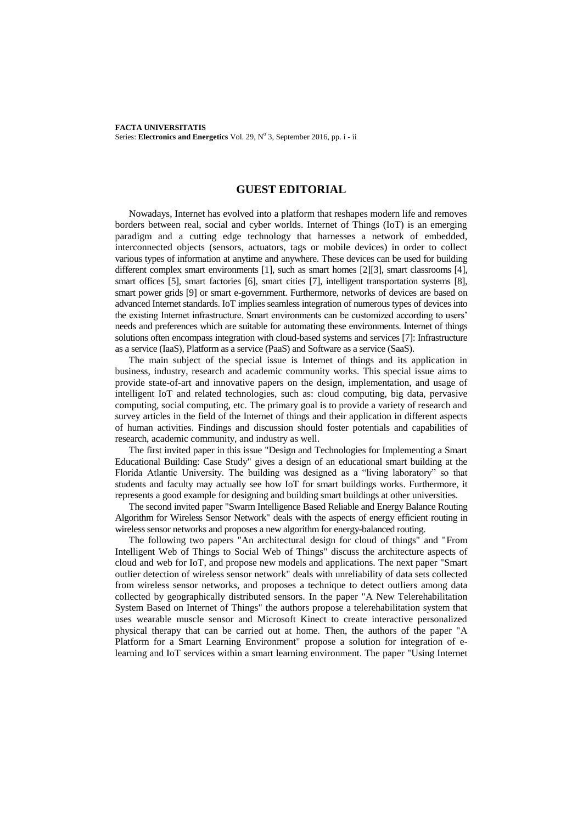## **GUEST EDITORIAL**

Nowadays, Internet has evolved into a platform that reshapes modern life and removes borders between real, social and cyber worlds. Internet of Things (IoT) is an emerging paradigm and a cutting edge technology that harnesses a network of embedded, interconnected objects (sensors, actuators, tags or mobile devices) in order to collect various types of information at anytime and anywhere. These devices can be used for building different complex smart environments [1], such as smart homes [2][3], smart classrooms [4], smart offices [5], smart factories [6], smart cities [7], intelligent transportation systems [8], smart power grids [9] or smart e-government. Furthermore, networks of devices are based on advanced Internet standards. IoT implies seamless integration of numerous types of devices into the existing Internet infrastructure. Smart environments can be customized according to users' needs and preferences which are suitable for automating these environments. Internet of things solutions often encompass integration with cloud-based systems and services [7]: Infrastructure as a service (IaaS), Platform as a service (PaaS) and Software as a service (SaaS).

The main subject of the special issue is Internet of things and its application in business, industry, research and academic community works. This special issue aims to provide state-of-art and innovative papers on the design, implementation, and usage of intelligent IoT and related technologies, such as: cloud computing, big data, pervasive computing, social computing, etc. The primary goal is to provide a variety of research and survey articles in the field of the Internet of things and their application in different aspects of human activities. Findings and discussion should foster potentials and capabilities of research, academic community, and industry as well.

The first invited paper in this issue "Design and Technologies for Implementing a Smart Educational Building: Case Study" gives a design of an educational smart building at the Florida Atlantic University. The building was designed as a "living laboratory" so that students and faculty may actually see how IoT for smart buildings works. Furthermore, it represents a good example for designing and building smart buildings at other universities.

The second invited paper "Swarm Intelligence Based Reliable and Energy Balance Routing Algorithm for Wireless Sensor Network" deals with the aspects of energy efficient routing in wireless sensor networks and proposes a new algorithm for energy-balanced routing.

The following two papers "An architectural design for cloud of things" and "From Intelligent Web of Things to Social Web of Things" discuss the architecture aspects of cloud and web for IoT, and propose new models and applications. The next paper "Smart outlier detection of wireless sensor network" deals with unreliability of data sets collected from wireless sensor networks, and proposes a technique to detect outliers among data collected by geographically distributed sensors. In the paper "A New Telerehabilitation System Based on Internet of Things" the authors propose a telerehabilitation system that uses wearable muscle sensor and Microsoft Kinect to create interactive personalized physical therapy that can be carried out at home. Then, the authors of the paper "A Platform for a Smart Learning Environment" propose a solution for integration of elearning and IoT services within a smart learning environment. The paper "Using Internet